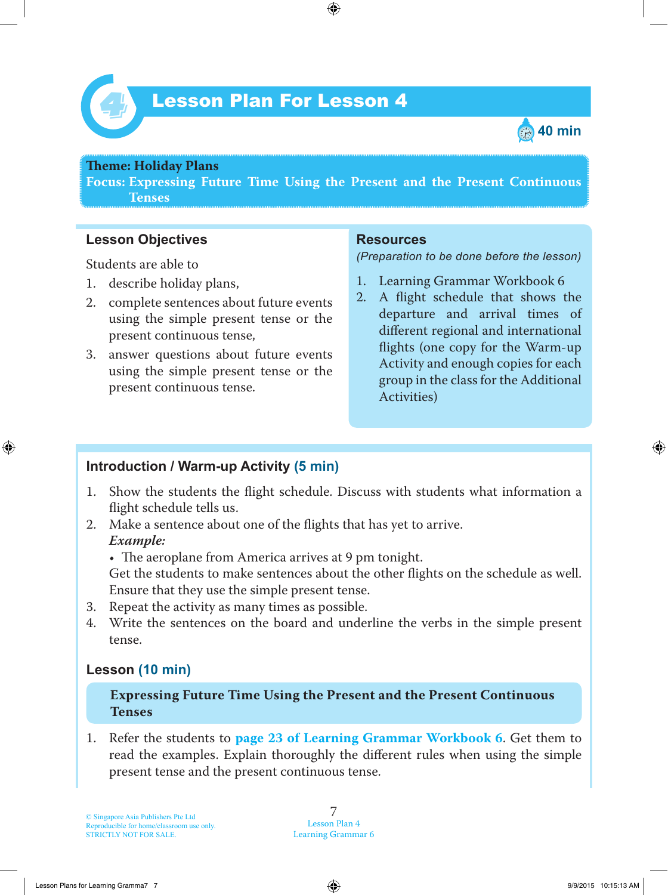



#### **Theme: Holiday Plans**

**Focus: Expressing Future Time Using the Present and the Present Continuous Tenses**

#### **Lesson Objectives**

Students are able to

- 1. describe holiday plans,
- 2. complete sentences about future events using the simple present tense or the present continuous tense,
- 3. answer questions about future events using the simple present tense or the present continuous tense.

#### **Resources**

*(Preparation to be done before the lesson)*

- 1. Learning Grammar Workbook 6
- 2. A flight schedule that shows the departure and arrival times of different regional and international flights (one copy for the Warm-up Activity and enough copies for each group in the class for the Additional Activities)

#### **Introduction / Warm-up Activity (5 min)**

- 1. Show the students the flight schedule. Discuss with students what information a flight schedule tells us.
- 2. Make a sentence about one of the flights that has yet to arrive.  *Example:*
	- The aeroplane from America arrives at 9 pm tonight.

Get the students to make sentences about the other flights on the schedule as well. Ensure that they use the simple present tense.

- 3. Repeat the activity as many times as possible.
- 4. Write the sentences on the board and underline the verbs in the simple present tense.

#### **Lesson (10 min)**

#### **Expressing Future Time Using the Present and the Present Continuous Tenses**

1. Refer the students to **page 23 of Learning Grammar Workbook 6** . Get them to read the examples. Explain thoroughly the different rules when using the simple present tense and the present continuous tense.